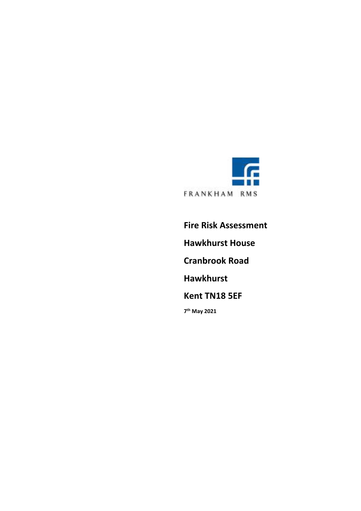

**Fire Risk Assessment Hawkhurst House Cranbrook Road Hawkhurst Kent TN18 5EF 7 th May 2021**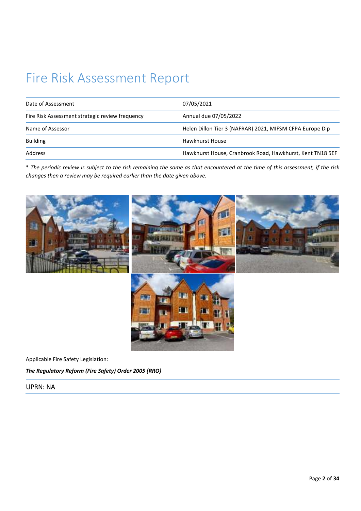# Fire Risk Assessment Report

| Date of Assessment                              | 07/05/2021                                                |
|-------------------------------------------------|-----------------------------------------------------------|
| Fire Risk Assessment strategic review frequency | Annual due 07/05/2022                                     |
| Name of Assessor                                | Helen Dillon Tier 3 (NAFRAR) 2021, MIFSM CFPA Europe Dip  |
| <b>Building</b>                                 | Hawkhurst House                                           |
| Address                                         | Hawkhurst House, Cranbrook Road, Hawkhurst, Kent TN18 5EF |

\* *The periodic review is subject to the risk remaining the same as that encountered at the time of this assessment, if the risk changes then a review may be required earlier than the date given above.* 



Applicable Fire Safety Legislation:

*The Regulatory Reform (Fire Safety) Order 2005 (RRO)* 

#### UPRN: NA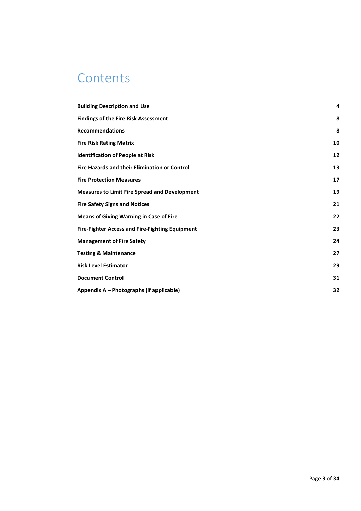### **Contents**

| <b>Building Description and Use</b>                    | 4  |
|--------------------------------------------------------|----|
| <b>Findings of the Fire Risk Assessment</b>            | 8  |
| <b>Recommendations</b>                                 | 8  |
| <b>Fire Risk Rating Matrix</b>                         | 10 |
| <b>Identification of People at Risk</b>                | 12 |
| <b>Fire Hazards and their Elimination or Control</b>   | 13 |
| <b>Fire Protection Measures</b>                        | 17 |
| <b>Measures to Limit Fire Spread and Development</b>   | 19 |
| <b>Fire Safety Signs and Notices</b>                   | 21 |
| <b>Means of Giving Warning in Case of Fire</b>         | 22 |
| <b>Fire-Fighter Access and Fire-Fighting Equipment</b> | 23 |
| <b>Management of Fire Safety</b>                       | 24 |
| <b>Testing &amp; Maintenance</b>                       | 27 |
| <b>Risk Level Estimator</b>                            | 29 |
| <b>Document Control</b>                                | 31 |
| Appendix A - Photographs (if applicable)               | 32 |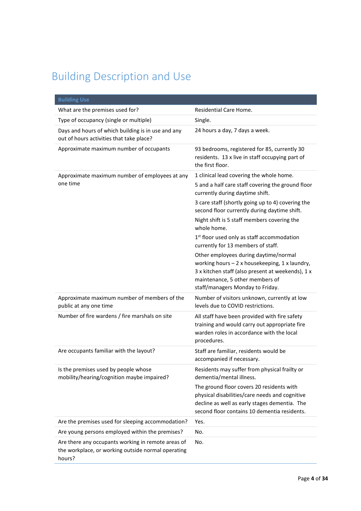## Building Description and Use

| <b>Building Use</b>                                                                                                |                                                                                                                                                                                                                     |
|--------------------------------------------------------------------------------------------------------------------|---------------------------------------------------------------------------------------------------------------------------------------------------------------------------------------------------------------------|
| What are the premises used for?                                                                                    | Residential Care Home.                                                                                                                                                                                              |
| Type of occupancy (single or multiple)                                                                             | Single.                                                                                                                                                                                                             |
| Days and hours of which building is in use and any<br>out of hours activities that take place?                     | 24 hours a day, 7 days a week.                                                                                                                                                                                      |
| Approximate maximum number of occupants                                                                            | 93 bedrooms, registered for 85, currently 30<br>residents. 13 x live in staff occupying part of<br>the first floor.                                                                                                 |
| Approximate maximum number of employees at any                                                                     | 1 clinical lead covering the whole home.                                                                                                                                                                            |
| one time                                                                                                           | 5 and a half care staff covering the ground floor<br>currently during daytime shift.                                                                                                                                |
|                                                                                                                    | 3 care staff (shortly going up to 4) covering the<br>second floor currently during daytime shift.                                                                                                                   |
|                                                                                                                    | Night shift is 5 staff members covering the<br>whole home.                                                                                                                                                          |
|                                                                                                                    | 1 <sup>st</sup> floor used only as staff accommodation<br>currently for 13 members of staff.                                                                                                                        |
|                                                                                                                    | Other employees during daytime/normal<br>working hours $-2x$ housekeeping, 1 x laundry,<br>3 x kitchen staff (also present at weekends), 1 x<br>maintenance, 5 other members of<br>staff/managers Monday to Friday. |
| Approximate maximum number of members of the<br>public at any one time                                             | Number of visitors unknown, currently at low<br>levels due to COVID restrictions.                                                                                                                                   |
| Number of fire wardens / fire marshals on site                                                                     | All staff have been provided with fire safety<br>training and would carry out appropriate fire<br>warden roles in accordance with the local<br>procedures.                                                          |
| Are occupants familiar with the layout?                                                                            | Staff are familiar, residents would be<br>accompanied if necessary.                                                                                                                                                 |
| Is the premises used by people whose<br>mobility/hearing/cognition maybe impaired?                                 | Residents may suffer from physical frailty or<br>dementia/mental illness.                                                                                                                                           |
|                                                                                                                    | The ground floor covers 20 residents with<br>physical disabilities/care needs and cognitive<br>decline as well as early stages dementia. The<br>second floor contains 10 dementia residents.                        |
| Are the premises used for sleeping accommodation?                                                                  | Yes.                                                                                                                                                                                                                |
| Are young persons employed within the premises?                                                                    | No.                                                                                                                                                                                                                 |
| Are there any occupants working in remote areas of<br>the workplace, or working outside normal operating<br>hours? | No.                                                                                                                                                                                                                 |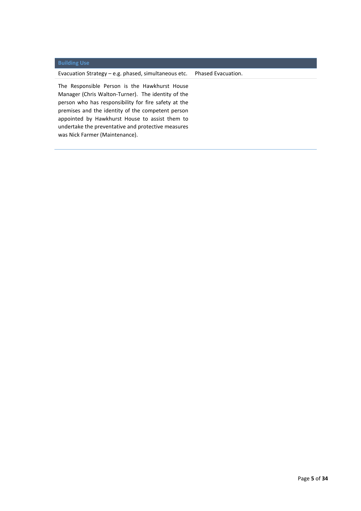#### **Building Use**

Evacuation Strategy – e.g. phased, simultaneous etc. Phased Evacuation.

The Responsible Person is the Hawkhurst House Manager (Chris Walton-Turner). The identity of the person who has responsibility for fire safety at the premises and the identity of the competent person appointed by Hawkhurst House to assist them to undertake the preventative and protective measures was Nick Farmer (Maintenance).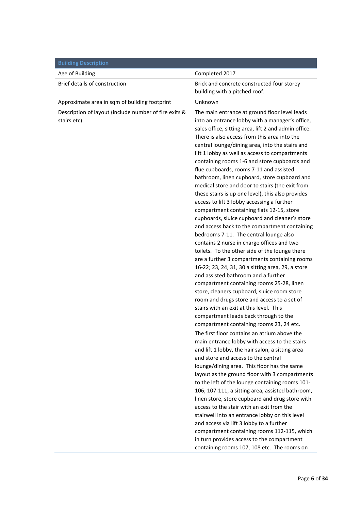| <b>Building Description</b>                                          |                                                                                                                                                                                                                                                                                                                                                                                                                                                                                                                                                                                                                                                                                                                                                                                                                                                                                                                                                                                                                                                                                                                                                                                                                                                                                                                                                                                                                                                                                                                                                                                                                                                                                                                                                                                                                                                                                        |
|----------------------------------------------------------------------|----------------------------------------------------------------------------------------------------------------------------------------------------------------------------------------------------------------------------------------------------------------------------------------------------------------------------------------------------------------------------------------------------------------------------------------------------------------------------------------------------------------------------------------------------------------------------------------------------------------------------------------------------------------------------------------------------------------------------------------------------------------------------------------------------------------------------------------------------------------------------------------------------------------------------------------------------------------------------------------------------------------------------------------------------------------------------------------------------------------------------------------------------------------------------------------------------------------------------------------------------------------------------------------------------------------------------------------------------------------------------------------------------------------------------------------------------------------------------------------------------------------------------------------------------------------------------------------------------------------------------------------------------------------------------------------------------------------------------------------------------------------------------------------------------------------------------------------------------------------------------------------|
| Age of Building                                                      | Completed 2017                                                                                                                                                                                                                                                                                                                                                                                                                                                                                                                                                                                                                                                                                                                                                                                                                                                                                                                                                                                                                                                                                                                                                                                                                                                                                                                                                                                                                                                                                                                                                                                                                                                                                                                                                                                                                                                                         |
| Brief details of construction                                        | Brick and concrete constructed four storey<br>building with a pitched roof.                                                                                                                                                                                                                                                                                                                                                                                                                                                                                                                                                                                                                                                                                                                                                                                                                                                                                                                                                                                                                                                                                                                                                                                                                                                                                                                                                                                                                                                                                                                                                                                                                                                                                                                                                                                                            |
| Approximate area in sqm of building footprint                        | Unknown                                                                                                                                                                                                                                                                                                                                                                                                                                                                                                                                                                                                                                                                                                                                                                                                                                                                                                                                                                                                                                                                                                                                                                                                                                                                                                                                                                                                                                                                                                                                                                                                                                                                                                                                                                                                                                                                                |
| Description of layout (include number of fire exits &<br>stairs etc) | The main entrance at ground floor level leads<br>into an entrance lobby with a manager's office,<br>sales office, sitting area, lift 2 and admin office.<br>There is also access from this area into the<br>central lounge/dining area, into the stairs and<br>lift 1 lobby as well as access to compartments<br>containing rooms 1-6 and store cupboards and<br>flue cupboards, rooms 7-11 and assisted<br>bathroom, linen cupboard, store cupboard and<br>medical store and door to stairs (the exit from<br>these stairs is up one level), this also provides<br>access to lift 3 lobby accessing a further<br>compartment containing flats 12-15, store<br>cupboards, sluice cupboard and cleaner's store<br>and access back to the compartment containing<br>bedrooms 7-11. The central lounge also<br>contains 2 nurse in charge offices and two<br>toilets. To the other side of the lounge there<br>are a further 3 compartments containing rooms<br>16-22; 23, 24, 31, 30 a sitting area, 29, a store<br>and assisted bathroom and a further<br>compartment containing rooms 25-28, linen<br>store, cleaners cupboard, sluice room store<br>room and drugs store and access to a set of<br>stairs with an exit at this level. This<br>compartment leads back through to the<br>compartment containing rooms 23, 24 etc.<br>The first floor contains an atrium above the<br>main entrance lobby with access to the stairs<br>and lift 1 lobby, the hair salon, a sitting area<br>and store and access to the central<br>lounge/dining area. This floor has the same<br>layout as the ground floor with 3 compartments<br>to the left of the lounge containing rooms 101-<br>106; 107-111, a sitting area, assisted bathroom,<br>linen store, store cupboard and drug store with<br>access to the stair with an exit from the<br>stairwell into an entrance lobby on this level |
|                                                                      | and access via lift 3 lobby to a further                                                                                                                                                                                                                                                                                                                                                                                                                                                                                                                                                                                                                                                                                                                                                                                                                                                                                                                                                                                                                                                                                                                                                                                                                                                                                                                                                                                                                                                                                                                                                                                                                                                                                                                                                                                                                                               |
|                                                                      | compartment containing rooms 112-115, which<br>in turn provides access to the compartment                                                                                                                                                                                                                                                                                                                                                                                                                                                                                                                                                                                                                                                                                                                                                                                                                                                                                                                                                                                                                                                                                                                                                                                                                                                                                                                                                                                                                                                                                                                                                                                                                                                                                                                                                                                              |
|                                                                      | containing rooms 107, 108 etc. The rooms on                                                                                                                                                                                                                                                                                                                                                                                                                                                                                                                                                                                                                                                                                                                                                                                                                                                                                                                                                                                                                                                                                                                                                                                                                                                                                                                                                                                                                                                                                                                                                                                                                                                                                                                                                                                                                                            |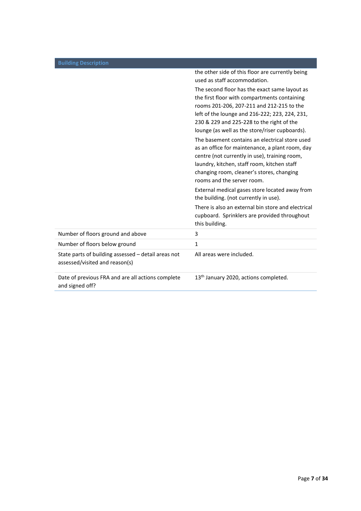|                                                                                       | the other side of this floor are currently being<br>used as staff accommodation.                                                                                                                                                                                                                                                                                                                                                                                                                                                                                            |
|---------------------------------------------------------------------------------------|-----------------------------------------------------------------------------------------------------------------------------------------------------------------------------------------------------------------------------------------------------------------------------------------------------------------------------------------------------------------------------------------------------------------------------------------------------------------------------------------------------------------------------------------------------------------------------|
|                                                                                       | The second floor has the exact same layout as<br>the first floor with compartments containing<br>rooms 201-206, 207-211 and 212-215 to the<br>left of the lounge and 216-222; 223, 224, 231,<br>230 & 229 and 225-228 to the right of the<br>lounge (as well as the store/riser cupboards).<br>The basement contains an electrical store used<br>as an office for maintenance, a plant room, day<br>centre (not currently in use), training room,<br>laundry, kitchen, staff room, kitchen staff<br>changing room, cleaner's stores, changing<br>rooms and the server room. |
|                                                                                       | External medical gases store located away from<br>the building. (not currently in use).                                                                                                                                                                                                                                                                                                                                                                                                                                                                                     |
|                                                                                       | There is also an external bin store and electrical<br>cupboard. Sprinklers are provided throughout<br>this building.                                                                                                                                                                                                                                                                                                                                                                                                                                                        |
| Number of floors ground and above                                                     | 3                                                                                                                                                                                                                                                                                                                                                                                                                                                                                                                                                                           |
| Number of floors below ground                                                         | 1                                                                                                                                                                                                                                                                                                                                                                                                                                                                                                                                                                           |
| State parts of building assessed - detail areas not<br>assessed/visited and reason(s) | All areas were included.                                                                                                                                                                                                                                                                                                                                                                                                                                                                                                                                                    |
| Date of previous FRA and are all actions complete<br>and signed off?                  | 13 <sup>th</sup> January 2020, actions completed.                                                                                                                                                                                                                                                                                                                                                                                                                                                                                                                           |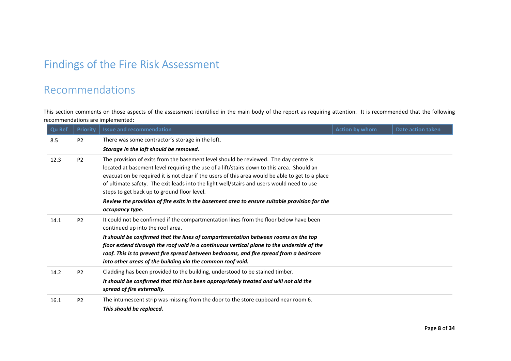# Findings of the Fire Risk Assessment Recommendations

This section comments on those aspects of the assessment identified in the main body of the report as requiring attention. It is recommended that the following recommendations are implemented:

| <b>Qu Ref</b> | <b>Priority</b> | <b>Issue and recommendation</b>                                                                                                                                                   | <b>Action by whom</b> | Date action taken |
|---------------|-----------------|-----------------------------------------------------------------------------------------------------------------------------------------------------------------------------------|-----------------------|-------------------|
| 8.5           | <b>P2</b>       | There was some contractor's storage in the loft.                                                                                                                                  |                       |                   |
|               |                 | Storage in the loft should be removed.                                                                                                                                            |                       |                   |
| 12.3          | P <sub>2</sub>  | The provision of exits from the basement level should be reviewed. The day centre is<br>located at basement level requiring the use of a lift/stairs down to this area. Should an |                       |                   |
|               |                 | evacuation be required it is not clear if the users of this area would be able to get to a place                                                                                  |                       |                   |
|               |                 | of ultimate safety. The exit leads into the light well/stairs and users would need to use                                                                                         |                       |                   |
|               |                 | steps to get back up to ground floor level.                                                                                                                                       |                       |                   |
|               |                 | Review the provision of fire exits in the basement area to ensure suitable provision for the                                                                                      |                       |                   |
|               |                 | occupancy type.                                                                                                                                                                   |                       |                   |
| 14.1          | P <sub>2</sub>  | It could not be confirmed if the compartmentation lines from the floor below have been                                                                                            |                       |                   |
|               |                 | continued up into the roof area.                                                                                                                                                  |                       |                   |
|               |                 | It should be confirmed that the lines of compartmentation between rooms on the top                                                                                                |                       |                   |
|               |                 | floor extend through the roof void in a continuous vertical plane to the underside of the                                                                                         |                       |                   |
|               |                 | roof. This is to prevent fire spread between bedrooms, and fire spread from a bedroom                                                                                             |                       |                   |
|               |                 | into other areas of the building via the common roof void.                                                                                                                        |                       |                   |
| 14.2          | P <sub>2</sub>  | Cladding has been provided to the building, understood to be stained timber.                                                                                                      |                       |                   |
|               |                 | It should be confirmed that this has been appropriately treated and will not aid the                                                                                              |                       |                   |
|               |                 | spread of fire externally.                                                                                                                                                        |                       |                   |
| 16.1          | P <sub>2</sub>  | The intumescent strip was missing from the door to the store cupboard near room 6.                                                                                                |                       |                   |
|               |                 | This should be replaced.                                                                                                                                                          |                       |                   |
|               |                 |                                                                                                                                                                                   |                       |                   |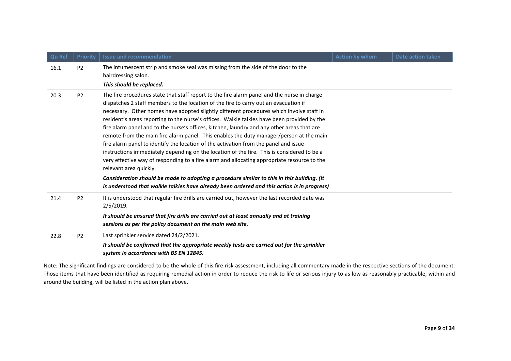| Qu Ref | <b>Priority</b> | <b>Issue and recommendation</b>                                                                                                                                                                                                                                                                                                                                                                                                                                                                                                                                                                                                                                                                                                                                                                                                                                                        | <b>Action by whom</b> | <b>Date action taken</b> |
|--------|-----------------|----------------------------------------------------------------------------------------------------------------------------------------------------------------------------------------------------------------------------------------------------------------------------------------------------------------------------------------------------------------------------------------------------------------------------------------------------------------------------------------------------------------------------------------------------------------------------------------------------------------------------------------------------------------------------------------------------------------------------------------------------------------------------------------------------------------------------------------------------------------------------------------|-----------------------|--------------------------|
| 16.1   | P <sub>2</sub>  | The intumescent strip and smoke seal was missing from the side of the door to the<br>hairdressing salon.<br>This should be replaced.                                                                                                                                                                                                                                                                                                                                                                                                                                                                                                                                                                                                                                                                                                                                                   |                       |                          |
| 20.3   | P <sub>2</sub>  | The fire procedures state that staff report to the fire alarm panel and the nurse in charge<br>dispatches 2 staff members to the location of the fire to carry out an evacuation if<br>necessary. Other homes have adopted slightly different procedures which involve staff in<br>resident's areas reporting to the nurse's offices. Walkie talkies have been provided by the<br>fire alarm panel and to the nurse's offices, kitchen, laundry and any other areas that are<br>remote from the main fire alarm panel. This enables the duty manager/person at the main<br>fire alarm panel to identify the location of the activation from the panel and issue<br>instructions immediately depending on the location of the fire. This is considered to be a<br>very effective way of responding to a fire alarm and allocating appropriate resource to the<br>relevant area quickly. |                       |                          |
|        |                 | Consideration should be made to adopting a procedure similar to this in this building. (It<br>is understood that walkie talkies have already been ordered and this action is in progress)                                                                                                                                                                                                                                                                                                                                                                                                                                                                                                                                                                                                                                                                                              |                       |                          |
| 21.4   | P <sub>2</sub>  | It is understood that regular fire drills are carried out, however the last recorded date was<br>2/5/2019.                                                                                                                                                                                                                                                                                                                                                                                                                                                                                                                                                                                                                                                                                                                                                                             |                       |                          |
|        |                 | It should be ensured that fire drills are carried out at least annually and at training<br>sessions as per the policy document on the main web site.                                                                                                                                                                                                                                                                                                                                                                                                                                                                                                                                                                                                                                                                                                                                   |                       |                          |
| 22.8   | P <sub>2</sub>  | Last sprinkler service dated 24/2/2021.                                                                                                                                                                                                                                                                                                                                                                                                                                                                                                                                                                                                                                                                                                                                                                                                                                                |                       |                          |
|        |                 | It should be confirmed that the appropriate weekly tests are carried out for the sprinkler<br>system in accordance with BS EN 12845.                                                                                                                                                                                                                                                                                                                                                                                                                                                                                                                                                                                                                                                                                                                                                   |                       |                          |

Note: The significant findings are considered to be the whole of this fire risk assessment, including all commentary made in the respective sections of the document. Those items that have been identified as requiring remedial action in order to reduce the risk to life or serious injury to as low as reasonably practicable, within and around the building, will be listed in the action plan above.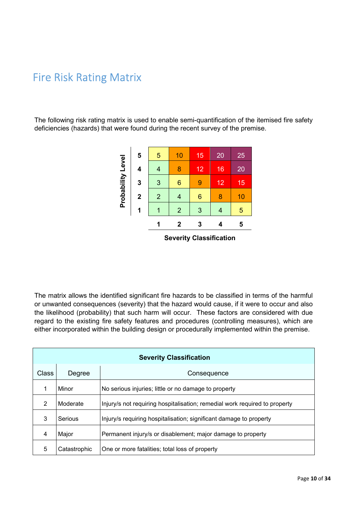### Fire Risk Rating Matrix

The following risk rating matrix is used to enable semi-quantification of the itemised fire safety deficiencies (hazards) that were found during the recent survey of the premise.

|                   | 5                       | 5              | 10             | 15              | 20                    | 25 |
|-------------------|-------------------------|----------------|----------------|-----------------|-----------------------|----|
|                   | 4                       | 4              | 8              | 12              | 16                    | 20 |
|                   | 3                       | 3              | 6              | 9               | 12                    | 15 |
| Probability Level | $\overline{\mathbf{2}}$ | $\overline{2}$ | 4              | $6\phantom{1}6$ | 8                     | 10 |
|                   | 1                       | 1              | $\overline{2}$ | 3               | 4                     | 5  |
|                   |                         |                | $\mathbf 2$    | 3               | 4                     | 5  |
|                   |                         |                | $\sim$ $\sim$  | . .             | - --<br>$\sim$ $\sim$ |    |

**Severity Classification** 

|                                |                                                                                        |                                                                    | 5            | 5                              | 10                      | 15             | 20                      | 25 |                                                                                                                                                                                                     |
|--------------------------------|----------------------------------------------------------------------------------------|--------------------------------------------------------------------|--------------|--------------------------------|-------------------------|----------------|-------------------------|----|-----------------------------------------------------------------------------------------------------------------------------------------------------------------------------------------------------|
|                                |                                                                                        |                                                                    | 4            | $\overline{4}$                 | 8                       | 12             | 16                      | 20 |                                                                                                                                                                                                     |
|                                |                                                                                        | Probability Level                                                  | 3            | 3                              | $6\phantom{1}6$         | $\overline{9}$ | 12                      | 15 |                                                                                                                                                                                                     |
|                                |                                                                                        |                                                                    | $\mathbf{2}$ | $\overline{2}$                 | $\overline{4}$          | 6              | 8                       | 10 |                                                                                                                                                                                                     |
|                                |                                                                                        |                                                                    | 1            | 1                              | $\overline{2}$          | 3              | $\overline{4}$          | 5  |                                                                                                                                                                                                     |
|                                |                                                                                        |                                                                    |              | 1                              | $\overline{\mathbf{2}}$ | 3              | $\overline{\mathbf{4}}$ | 5  |                                                                                                                                                                                                     |
| <b>Severity Classification</b> |                                                                                        |                                                                    |              |                                |                         |                |                         |    |                                                                                                                                                                                                     |
|                                |                                                                                        |                                                                    |              |                                |                         |                |                         |    |                                                                                                                                                                                                     |
|                                |                                                                                        |                                                                    |              |                                |                         |                |                         |    |                                                                                                                                                                                                     |
|                                |                                                                                        |                                                                    |              |                                |                         |                |                         |    |                                                                                                                                                                                                     |
|                                |                                                                                        |                                                                    |              |                                |                         |                |                         |    |                                                                                                                                                                                                     |
|                                |                                                                                        |                                                                    |              |                                |                         |                |                         |    | The matrix allows the identified significant fire hazards to be classified in terms of the harmful<br>or unwanted consequences (severity) that the hazard would cause, if it were to occur and also |
|                                |                                                                                        |                                                                    |              |                                |                         |                |                         |    | the likelihood (probability) that such harm will occur. These factors are considered with due                                                                                                       |
|                                |                                                                                        |                                                                    |              |                                |                         |                |                         |    | regard to the existing fire safety features and procedures (controlling measures), which are                                                                                                        |
|                                |                                                                                        |                                                                    |              |                                |                         |                |                         |    | either incorporated within the building design or procedurally implemented within the premise.                                                                                                      |
|                                |                                                                                        |                                                                    |              |                                |                         |                |                         |    |                                                                                                                                                                                                     |
|                                |                                                                                        |                                                                    |              | <b>Severity Classification</b> |                         |                |                         |    |                                                                                                                                                                                                     |
| Class                          | Degree                                                                                 |                                                                    |              |                                |                         | Consequence    |                         |    |                                                                                                                                                                                                     |
| 1                              | Minor                                                                                  | No serious injuries; little or no damage to property               |              |                                |                         |                |                         |    |                                                                                                                                                                                                     |
| $\overline{2}$                 | Moderate<br>Injury/s not requiring hospitalisation; remedial work required to property |                                                                    |              |                                |                         |                |                         |    |                                                                                                                                                                                                     |
|                                |                                                                                        |                                                                    |              |                                |                         |                |                         |    |                                                                                                                                                                                                     |
| $\mathbf{3}$                   | Serious                                                                                | Injury/s requiring hospitalisation; significant damage to property |              |                                |                         |                |                         |    |                                                                                                                                                                                                     |
| 4                              | Major                                                                                  | Permanent injury/s or disablement; major damage to property        |              |                                |                         |                |                         |    |                                                                                                                                                                                                     |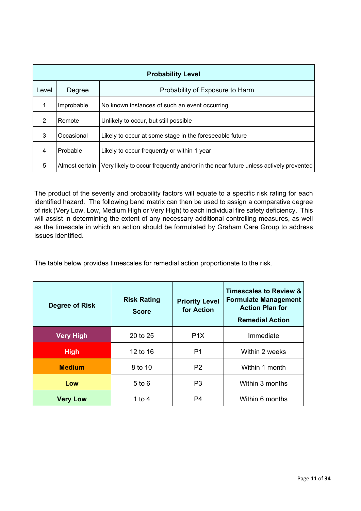| <b>Probability Level</b> |                |                                                                                     |  |  |  |  |
|--------------------------|----------------|-------------------------------------------------------------------------------------|--|--|--|--|
| Level                    | Degree         | Probability of Exposure to Harm                                                     |  |  |  |  |
|                          | Improbable     | No known instances of such an event occurring                                       |  |  |  |  |
| 2                        | Remote         | Unlikely to occur, but still possible                                               |  |  |  |  |
| 3                        | Occasional     | Likely to occur at some stage in the foreseeable future                             |  |  |  |  |
| 4                        | Probable       | Likely to occur frequently or within 1 year                                         |  |  |  |  |
| 5                        | Almost certain | Very likely to occur frequently and/or in the near future unless actively prevented |  |  |  |  |

The product of the severity and probability factors will equate to a specific risk rating for each identified hazard. The following band matrix can then be used to assign a comparative degree of risk (Very Low, Low, Medium High or Very High) to each individual fire safety deficiency. This will assist in determining the extent of any necessary additional controlling measures, as well as the timescale in which an action should be formulated by Graham Care Group to address issues identified.

The table below provides timescales for remedial action proportionate to the risk.

| Degree of Risk   | <b>Risk Rating</b><br><b>Score</b> | <b>Priority Level</b><br>for Action | Timescales to Review &<br><b>Formulate Management</b><br><b>Action Plan for</b><br><b>Remedial Action</b> |  |  |
|------------------|------------------------------------|-------------------------------------|-----------------------------------------------------------------------------------------------------------|--|--|
| <b>Very High</b> | 20 to 25                           | P <sub>1</sub> X                    | Immediate                                                                                                 |  |  |
| <b>High</b>      | 12 to 16                           | P1                                  | Within 2 weeks                                                                                            |  |  |
| <b>Medium</b>    | 8 to 10                            | P <sub>2</sub>                      | Within 1 month                                                                                            |  |  |
| Low              | $5$ to $6$                         | P <sub>3</sub>                      | Within 3 months                                                                                           |  |  |
| <b>Very Low</b>  | 1 to 4                             | P4                                  | Within 6 months                                                                                           |  |  |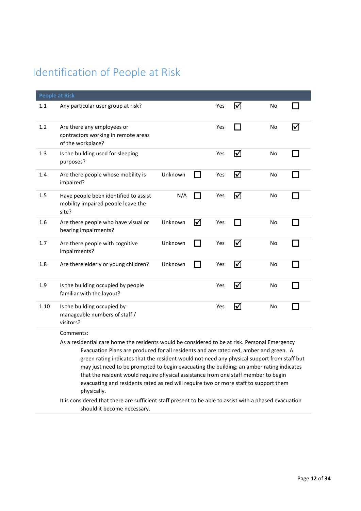### Identification of People at Risk

|      | <b>People at Risk</b>                                                                                                                                                                                                                                                                                                                                                                                                                                                                                                                                                           |         |              |     |                 |    |   |  |  |  |
|------|---------------------------------------------------------------------------------------------------------------------------------------------------------------------------------------------------------------------------------------------------------------------------------------------------------------------------------------------------------------------------------------------------------------------------------------------------------------------------------------------------------------------------------------------------------------------------------|---------|--------------|-----|-----------------|----|---|--|--|--|
| 1.1  | Any particular user group at risk?                                                                                                                                                                                                                                                                                                                                                                                                                                                                                                                                              |         |              | Yes | ☑               | No |   |  |  |  |
| 1.2  | Are there any employees or<br>contractors working in remote areas<br>of the workplace?                                                                                                                                                                                                                                                                                                                                                                                                                                                                                          |         |              | Yes | <b>Contract</b> | No | ⋈ |  |  |  |
| 1.3  | Is the building used for sleeping<br>purposes?                                                                                                                                                                                                                                                                                                                                                                                                                                                                                                                                  |         |              | Yes | ☑               | No |   |  |  |  |
| 1.4  | Are there people whose mobility is<br>impaired?                                                                                                                                                                                                                                                                                                                                                                                                                                                                                                                                 | Unknown |              | Yes | ☑               | No |   |  |  |  |
| 1.5  | Have people been identified to assist<br>mobility impaired people leave the<br>site?                                                                                                                                                                                                                                                                                                                                                                                                                                                                                            | N/A     |              | Yes | ☑               | No |   |  |  |  |
| 1.6  | Are there people who have visual or<br>hearing impairments?                                                                                                                                                                                                                                                                                                                                                                                                                                                                                                                     | Unknown | ☑            | Yes | $\sim$          | No |   |  |  |  |
| 1.7  | Are there people with cognitive<br>impairments?                                                                                                                                                                                                                                                                                                                                                                                                                                                                                                                                 | Unknown | $\mathbf{I}$ | Yes | ☑               | No |   |  |  |  |
| 1.8  | Are there elderly or young children?                                                                                                                                                                                                                                                                                                                                                                                                                                                                                                                                            | Unknown |              | Yes | ☑               | No |   |  |  |  |
| 1.9  | Is the building occupied by people<br>familiar with the layout?                                                                                                                                                                                                                                                                                                                                                                                                                                                                                                                 |         |              | Yes | $\triangledown$ | No |   |  |  |  |
| 1.10 | Is the building occupied by<br>manageable numbers of staff /<br>visitors?                                                                                                                                                                                                                                                                                                                                                                                                                                                                                                       |         |              | Yes | ☑               | No |   |  |  |  |
|      | Comments:                                                                                                                                                                                                                                                                                                                                                                                                                                                                                                                                                                       |         |              |     |                 |    |   |  |  |  |
|      | As a residential care home the residents would be considered to be at risk. Personal Emergency<br>Evacuation Plans are produced for all residents and are rated red, amber and green. A<br>green rating indicates that the resident would not need any physical support from staff but<br>may just need to be prompted to begin evacuating the building; an amber rating indicates<br>that the resident would require physical assistance from one staff member to begin<br>evacuating and residents rated as red will require two or more staff to support them<br>physically. |         |              |     |                 |    |   |  |  |  |
|      | It is considered that there are sufficient staff present to be able to assist with a phased evacuation<br>should it become necessary.                                                                                                                                                                                                                                                                                                                                                                                                                                           |         |              |     |                 |    |   |  |  |  |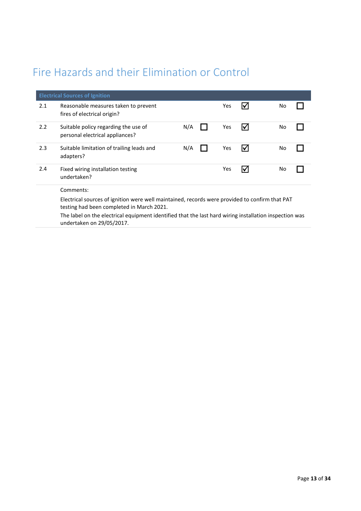### Fire Hazards and their Elimination or Control

|     | <b>Electrical Sources of Ignition</b>                                                                                                       |     |  |     |    |    |  |
|-----|---------------------------------------------------------------------------------------------------------------------------------------------|-----|--|-----|----|----|--|
| 2.1 | Reasonable measures taken to prevent<br>fires of electrical origin?                                                                         |     |  | Yes |    | No |  |
| 2.2 | Suitable policy regarding the use of<br>personal electrical appliances?                                                                     | N/A |  | Yes | I√ | No |  |
| 2.3 | Suitable limitation of trailing leads and<br>adapters?                                                                                      | N/A |  | Yes | IV | No |  |
| 2.4 | Fixed wiring installation testing<br>undertaken?                                                                                            |     |  | Yes |    | No |  |
|     | Comments:                                                                                                                                   |     |  |     |    |    |  |
|     | Electrical sources of ignition were well maintained, records were provided to confirm that PAT<br>testing had been completed in March 2021. |     |  |     |    |    |  |

The label on the electrical equipment identified that the last hard wiring installation inspection was undertaken on 29/05/2017.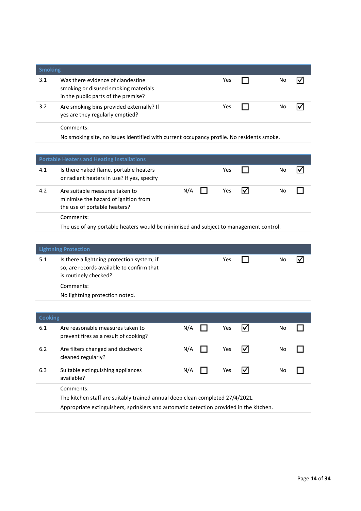| <b>Smoking</b> |                                                                                                                  |     |    |  |
|----------------|------------------------------------------------------------------------------------------------------------------|-----|----|--|
| 3.1            | Was there evidence of clandestine<br>smoking or disused smoking materials<br>in the public parts of the premise? | Yes | Nο |  |
| 3.2            | Are smoking bins provided externally? If<br>yes are they regularly emptied?                                      | Yes | N٥ |  |
|                | Comments:<br>No smoking site, no issues identified with current occupancy profile. No residents smoke.           |     |    |  |
|                |                                                                                                                  |     |    |  |

|     | <b>Portable Heaters and Heating Installations</b>                                                      |     |     |  |    |  |  |  |  |
|-----|--------------------------------------------------------------------------------------------------------|-----|-----|--|----|--|--|--|--|
| 4.1 | Is there naked flame, portable heaters<br>or radiant heaters in use? If yes, specify                   |     | Yes |  | No |  |  |  |  |
| 4.2 | Are suitable measures taken to<br>minimise the hazard of ignition from<br>the use of portable heaters? | N/A | Yes |  | No |  |  |  |  |
|     | Comments:                                                                                              |     |     |  |    |  |  |  |  |
|     | The use of any portable heaters would be minimised and subject to management control.                  |     |     |  |    |  |  |  |  |

|     | <b>Lightning Protection</b>                                                                                      |     |    |  |
|-----|------------------------------------------------------------------------------------------------------------------|-----|----|--|
| 5.1 | Is there a lightning protection system; if<br>so, are records available to confirm that<br>is routinely checked? | Yes | No |  |
|     | Comments:                                                                                                        |     |    |  |
|     | No lightning protection noted.                                                                                   |     |    |  |
|     |                                                                                                                  |     |    |  |

| <b>Cooking</b> |                                                                                            |     |     |     |    |  |
|----------------|--------------------------------------------------------------------------------------------|-----|-----|-----|----|--|
| 6.1            | Are reasonable measures taken to<br>prevent fires as a result of cooking?                  | N/A | Yes |     | No |  |
| 6.2            | Are filters changed and ductwork<br>cleaned regularly?                                     | N/A | Yes |     | No |  |
| 6.3            | Suitable extinguishing appliances<br>available?                                            | N/A | Yes | ΙVΙ | No |  |
|                | Comments:<br>The kitchen staff are suitably trained annual deep clean completed 27/4/2021. |     |     |     |    |  |

Appropriate extinguishers, sprinklers and automatic detection provided in the kitchen.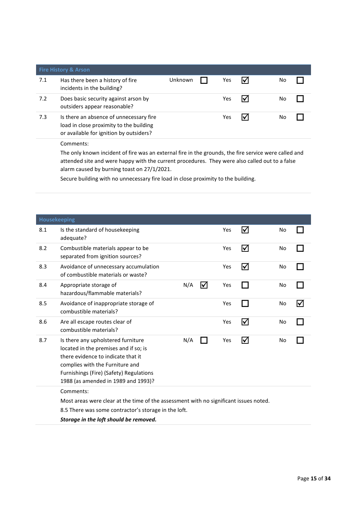|     | <b>Fire History &amp; Arson</b>                                                                                               |         |     |    |  |
|-----|-------------------------------------------------------------------------------------------------------------------------------|---------|-----|----|--|
| 7.1 | Has there been a history of fire<br>incidents in the building?                                                                | Unknown | Yes | No |  |
| 7.2 | Does basic security against arson by<br>outsiders appear reasonable?                                                          |         | Yes | No |  |
| 7.3 | Is there an absence of unnecessary fire<br>load in close proximity to the building<br>or available for ignition by outsiders? |         | Yes | No |  |
|     | Comments:<br>The only known incident of fire was an external fire in the grounds, the fire service were called and            |         |     |    |  |

attended site and were happy with the current procedures. They were also called out to a false alarm caused by burning toast on 27/1/2021.

Secure building with no unnecessary fire load in close proximity to the building.

|     | Housekeeping                                                                                                                                                                                                                           |     |    |     |                      |    |    |  |
|-----|----------------------------------------------------------------------------------------------------------------------------------------------------------------------------------------------------------------------------------------|-----|----|-----|----------------------|----|----|--|
| 8.1 | Is the standard of housekeeping<br>adequate?                                                                                                                                                                                           |     |    | Yes | Ⅳ                    | No |    |  |
| 8.2 | Combustible materials appear to be<br>separated from ignition sources?                                                                                                                                                                 |     |    | Yes | $\blacktriangledown$ | No |    |  |
| 8.3 | Avoidance of unnecessary accumulation<br>of combustible materials or waste?                                                                                                                                                            |     |    | Yes | $\blacktriangledown$ | No |    |  |
| 8.4 | Appropriate storage of<br>hazardous/flammable materials?                                                                                                                                                                               | N/A | l√ | Yes |                      | No |    |  |
| 8.5 | Avoidance of inappropriate storage of<br>combustible materials?                                                                                                                                                                        |     |    | Yes |                      | No | l√ |  |
| 8.6 | Are all escape routes clear of<br>combustible materials?                                                                                                                                                                               |     |    | Yes | $\blacktriangledown$ | No |    |  |
| 8.7 | Is there any upholstered furniture<br>located in the premises and if so; is<br>there evidence to indicate that it<br>complies with the Furniture and<br>Furnishings (Fire) (Safety) Regulations<br>1988 (as amended in 1989 and 1993)? | N/A |    | Yes | $\blacktriangledown$ | No |    |  |
|     | Comments:                                                                                                                                                                                                                              |     |    |     |                      |    |    |  |
|     | Most areas were clear at the time of the assessment with no significant issues noted.                                                                                                                                                  |     |    |     |                      |    |    |  |
|     | 8.5 There was some contractor's storage in the loft.                                                                                                                                                                                   |     |    |     |                      |    |    |  |
|     | Storage in the loft should be removed.                                                                                                                                                                                                 |     |    |     |                      |    |    |  |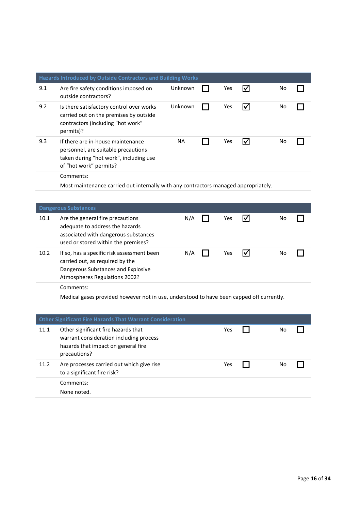|      | Hazards Introduced by Outside Contractors and Building Works                                                                                         |           |     |                      |    |  |
|------|------------------------------------------------------------------------------------------------------------------------------------------------------|-----------|-----|----------------------|----|--|
| 9.1  | Are fire safety conditions imposed on<br>outside contractors?                                                                                        | Unknown   | Yes | ☑                    | No |  |
| 9.2  | Is there satisfactory control over works<br>carried out on the premises by outside<br>contractors (including "hot work"<br>permits)?                 | Unknown   | Yes | ⋈                    | No |  |
| 9.3  | If there are in-house maintenance<br>personnel, are suitable precautions<br>taken during "hot work", including use<br>of "hot work" permits?         | <b>NA</b> | Yes | ⋈                    | No |  |
|      | Comments:                                                                                                                                            |           |     |                      |    |  |
|      | Most maintenance carried out internally with any contractors managed appropriately.                                                                  |           |     |                      |    |  |
|      |                                                                                                                                                      |           |     |                      |    |  |
|      | <b>Dangerous Substances</b>                                                                                                                          |           |     |                      |    |  |
| 10.1 | Are the general fire precautions<br>adequate to address the hazards<br>associated with dangerous substances<br>used or stored within the premises?   | N/A       | Yes | $\blacktriangledown$ | No |  |
| 10.2 | If so, has a specific risk assessment been<br>carried out, as required by the<br>Dangerous Substances and Explosive<br>Atmospheres Regulations 2002? | N/A       | Yes | $\blacktriangledown$ | No |  |
|      | Comments:                                                                                                                                            |           |     |                      |    |  |
|      | Medical gases provided however not in use, understood to have been capped off currently.                                                             |           |     |                      |    |  |
|      |                                                                                                                                                      |           |     |                      |    |  |
|      | <b>Other Significant Fire Hazards That Warrant Consideration</b>                                                                                     |           |     |                      |    |  |
| 11.1 | Other significant fire hazards that<br>warrant consideration including process<br>hazards that impact on general fire<br>precautions?                |           | Yes |                      | No |  |
| 11.2 | Are processes carried out which give rise<br>to a significant fire risk?                                                                             |           | Yes |                      | No |  |
|      | Comments:<br>None noted.                                                                                                                             |           |     |                      |    |  |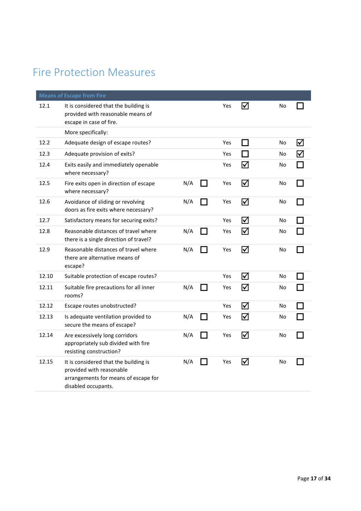### Fire Protection Measures

|       | <b>Means of Escape from Fire</b>                                                                                                 |     |               |            |                         |    |   |
|-------|----------------------------------------------------------------------------------------------------------------------------------|-----|---------------|------------|-------------------------|----|---|
| 12.1  | It is considered that the building is<br>provided with reasonable means of<br>escape in case of fire.                            |     |               | <b>Yes</b> | ☑                       | No |   |
|       | More specifically:                                                                                                               |     |               |            |                         |    |   |
| 12.2  | Adequate design of escape routes?                                                                                                |     |               | Yes        | $\sim$                  | No | ☑ |
| 12.3  | Adequate provision of exits?                                                                                                     |     |               | Yes        |                         | No |   |
| 12.4  | Exits easily and immediately openable<br>where necessary?                                                                        |     |               | Yes        | ☑                       | No |   |
| 12.5  | Fire exits open in direction of escape<br>where necessary?                                                                       | N/A | $\mathcal{L}$ | Yes        | ☑                       | No |   |
| 12.6  | Avoidance of sliding or revolving<br>doors as fire exits where necessary?                                                        | N/A |               | Yes        | ☑                       | No |   |
| 12.7  | Satisfactory means for securing exits?                                                                                           |     |               | Yes        | ☑                       | No |   |
| 12.8  | Reasonable distances of travel where<br>there is a single direction of travel?                                                   | N/A |               | Yes        | ☑                       | No |   |
| 12.9  | Reasonable distances of travel where<br>there are alternative means of<br>escape?                                                | N/A |               | Yes        | ☑                       | No |   |
| 12.10 | Suitable protection of escape routes?                                                                                            |     |               | Yes        | ☑                       | No |   |
| 12.11 | Suitable fire precautions for all inner<br>rooms?                                                                                | N/A |               | Yes        | $\overline{\mathsf{M}}$ | No |   |
| 12.12 | Escape routes unobstructed?                                                                                                      |     |               | Yes        | ☑                       | No |   |
| 12.13 | Is adequate ventilation provided to<br>secure the means of escape?                                                               | N/A |               | Yes        | ☑                       | No |   |
| 12.14 | Are excessively long corridors<br>appropriately sub divided with fire<br>resisting construction?                                 | N/A |               | Yes        | ☑                       | No |   |
| 12.15 | It is considered that the building is<br>provided with reasonable<br>arrangements for means of escape for<br>disabled occupants. | N/A |               | Yes        | ⊠                       | No |   |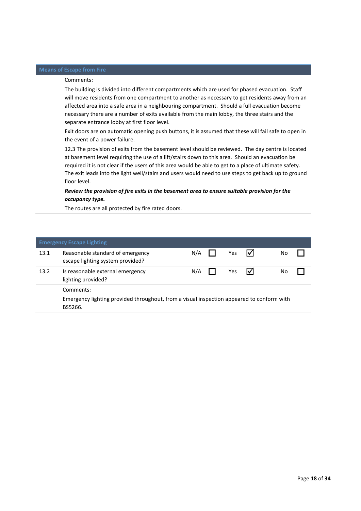#### Comments:

The building is divided into different compartments which are used for phased evacuation. Staff will move residents from one compartment to another as necessary to get residents away from an affected area into a safe area in a neighbouring compartment. Should a full evacuation become necessary there are a number of exits available from the main lobby, the three stairs and the separate entrance lobby at first floor level.

Exit doors are on automatic opening push buttons, it is assumed that these will fail safe to open in the event of a power failure.

12.3 The provision of exits from the basement level should be reviewed. The day centre is located at basement level requiring the use of a lift/stairs down to this area. Should an evacuation be required it is not clear if the users of this area would be able to get to a place of ultimate safety. The exit leads into the light well/stairs and users would need to use steps to get back up to ground floor level.

#### *Review the provision of fire exits in the basement area to ensure suitable provision for the occupancy type.*

The routes are all protected by fire rated doors.

|      | <b>Emergency Escape Lighting</b>                                                                     |     |  |     |     |    |  |
|------|------------------------------------------------------------------------------------------------------|-----|--|-----|-----|----|--|
| 13.1 | Reasonable standard of emergency<br>escape lighting system provided?                                 | N/A |  | Yes | IVІ | No |  |
| 13.2 | Is reasonable external emergency<br>lighting provided?                                               | N/A |  | Yes | I√l | No |  |
|      | Comments:                                                                                            |     |  |     |     |    |  |
|      | Emergency lighting provided throughout, from a visual inspection appeared to conform with<br>BS5266. |     |  |     |     |    |  |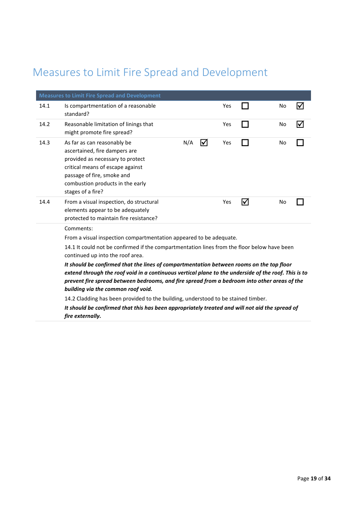### Measures to Limit Fire Spread and Development

|      | <b>Measures to Limit Fire Spread and Development</b>                                                                                                                                                                                                                                                                                                                                                                                                                                                                                                         |     |   |     |   |    |                      |
|------|--------------------------------------------------------------------------------------------------------------------------------------------------------------------------------------------------------------------------------------------------------------------------------------------------------------------------------------------------------------------------------------------------------------------------------------------------------------------------------------------------------------------------------------------------------------|-----|---|-----|---|----|----------------------|
| 14.1 | Is compartmentation of a reasonable<br>standard?                                                                                                                                                                                                                                                                                                                                                                                                                                                                                                             |     |   | Yes |   | No | I√                   |
| 14.2 | Reasonable limitation of linings that<br>might promote fire spread?                                                                                                                                                                                                                                                                                                                                                                                                                                                                                          |     |   | Yes |   | No | $\blacktriangledown$ |
| 14.3 | As far as can reasonably be<br>ascertained, fire dampers are<br>provided as necessary to protect<br>critical means of escape against<br>passage of fire, smoke and<br>combustion products in the early<br>stages of a fire?                                                                                                                                                                                                                                                                                                                                  | N/A | ☑ | Yes |   | No |                      |
| 14.4 | From a visual inspection, do structural<br>elements appear to be adequately<br>protected to maintain fire resistance?                                                                                                                                                                                                                                                                                                                                                                                                                                        |     |   | Yes | ☑ | No |                      |
|      | Comments:<br>From a visual inspection compartmentation appeared to be adequate.<br>14.1 It could not be confirmed if the compartmentation lines from the floor below have been<br>continued up into the roof area.<br>It should be confirmed that the lines of compartmentation between rooms on the top floor<br>extend through the roof void in a continuous vertical plane to the underside of the roof. This is to<br>prevent fire spread between bedrooms, and fire spread from a bedroom into other areas of the<br>building via the common roof void. |     |   |     |   |    |                      |
|      | 14.2 Cladding has been provided to the building, understood to be stained timber.                                                                                                                                                                                                                                                                                                                                                                                                                                                                            |     |   |     |   |    |                      |
|      | It should be confirmed that this has been appropriately treated and will not aid the spread of                                                                                                                                                                                                                                                                                                                                                                                                                                                               |     |   |     |   |    |                      |

*fire externally.*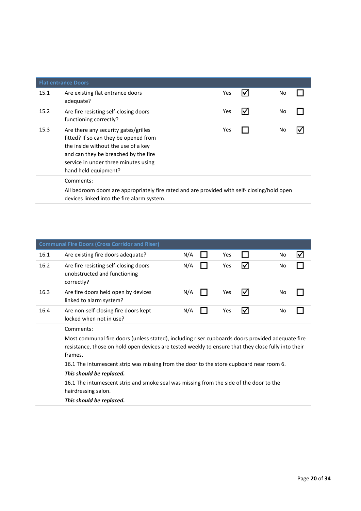|      | <b>Flat entrance Doors</b>                                                                                                                                                                                                   |     |   |    |  |
|------|------------------------------------------------------------------------------------------------------------------------------------------------------------------------------------------------------------------------------|-----|---|----|--|
| 15.1 | Are existing flat entrance doors<br>adequate?                                                                                                                                                                                | Yes |   | No |  |
| 15.2 | Are fire resisting self-closing doors<br>functioning correctly?                                                                                                                                                              | Yes | M | No |  |
| 15.3 | Are there any security gates/grilles<br>fitted? If so can they be opened from<br>the inside without the use of a key<br>and can they be breached by the fire<br>service in under three minutes using<br>hand held equipment? | Yes |   | No |  |
|      | Comments:<br>All bedroom doors are appropriately fire rated and are provided with self-closing/hold open                                                                                                                     |     |   |    |  |

devices linked into the fire alarm system.

|      | <b>Communal Fire Doors (Cross Corridor and Riser)</b>                               |     |     |   |    |  |
|------|-------------------------------------------------------------------------------------|-----|-----|---|----|--|
| 16.1 | Are existing fire doors adequate?                                                   | N/A | Yes |   | No |  |
| 16.2 | Are fire resisting self-closing doors<br>unobstructed and functioning<br>correctly? | N/A | Yes | M | No |  |
| 16.3 | Are fire doors held open by devices<br>linked to alarm system?                      | N/A | Yes |   | No |  |
| 16.4 | Are non-self-closing fire doors kept<br>locked when not in use?                     | N/A | Yes |   | No |  |

Comments:

Most communal fire doors (unless stated), including riser cupboards doors provided adequate fire resistance, those on hold open devices are tested weekly to ensure that they close fully into their frames.

16.1 The intumescent strip was missing from the door to the store cupboard near room 6.

#### *This should be replaced.*

16.1 The intumescent strip and smoke seal was missing from the side of the door to the hairdressing salon.

*This should be replaced.*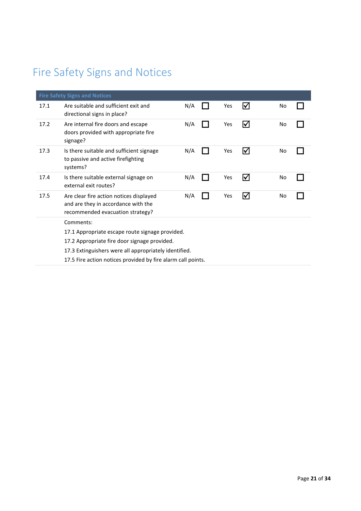### Fire Safety Signs and Notices

|      | <b>Fire Safety Signs and Notices</b>                                                                               |     |     |                      |    |  |
|------|--------------------------------------------------------------------------------------------------------------------|-----|-----|----------------------|----|--|
| 17.1 | Are suitable and sufficient exit and<br>directional signs in place?                                                | N/A | Yes | M                    | No |  |
| 17.2 | Are internal fire doors and escape<br>doors provided with appropriate fire<br>signage?                             | N/A | Yes | I√                   | No |  |
| 17.3 | Is there suitable and sufficient signage<br>to passive and active firefighting<br>systems?                         | N/A | Yes | ⋈                    | No |  |
| 17.4 | Is there suitable external signage on<br>external exit routes?                                                     | N/A | Yes | M                    | No |  |
| 17.5 | Are clear fire action notices displayed<br>and are they in accordance with the<br>recommended evacuation strategy? | N/A | Yes | $\blacktriangledown$ | No |  |
|      | Comments:                                                                                                          |     |     |                      |    |  |
|      | 17.1 Appropriate escape route signage provided.                                                                    |     |     |                      |    |  |
|      | 17.2 Appropriate fire door signage provided.                                                                       |     |     |                      |    |  |
|      | 17.3 Extinguishers were all appropriately identified.                                                              |     |     |                      |    |  |
|      | 17.5 Fire action notices provided by fire alarm call points.                                                       |     |     |                      |    |  |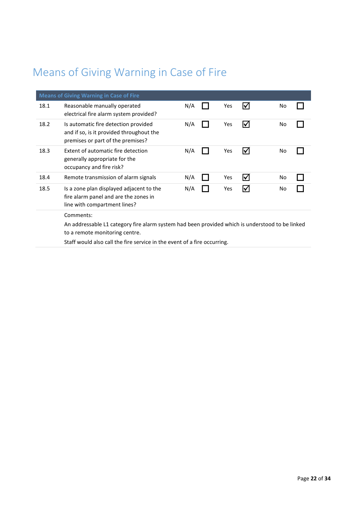### Means of Giving Warning in Case of Fire

|      | <b>Means of Giving Warning in Case of Fire</b>                                                                                    |     |     |                         |    |  |
|------|-----------------------------------------------------------------------------------------------------------------------------------|-----|-----|-------------------------|----|--|
| 18.1 | Reasonable manually operated<br>electrical fire alarm system provided?                                                            | N/A | Yes | $\blacktriangledown$    | No |  |
| 18.2 | Is automatic fire detection provided<br>and if so, is it provided throughout the<br>premises or part of the premises?             | N/A | Yes | ∇                       | No |  |
| 18.3 | Extent of automatic fire detection<br>generally appropriate for the<br>occupancy and fire risk?                                   | N/A | Yes | I√                      | No |  |
| 18.4 | Remote transmission of alarm signals                                                                                              | N/A | Yes | $\overline{\mathsf{M}}$ | No |  |
| 18.5 | Is a zone plan displayed adjacent to the<br>fire alarm panel and are the zones in<br>line with compartment lines?                 | N/A | Yes | ⋈                       | No |  |
|      | Comments:                                                                                                                         |     |     |                         |    |  |
|      | An addressable L1 category fire alarm system had been provided which is understood to be linked<br>to a remote monitoring centre. |     |     |                         |    |  |
|      | Staff would also call the fire service in the event of a fire occurring.                                                          |     |     |                         |    |  |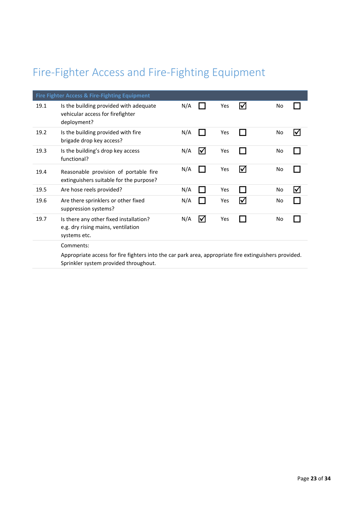### Fire-Fighter Access and Fire-Fighting Equipment

|      | Fire Fighter Access & Fire-Fighting Equipment                                                                                                  |     |   |     |                      |    |    |
|------|------------------------------------------------------------------------------------------------------------------------------------------------|-----|---|-----|----------------------|----|----|
| 19.1 | Is the building provided with adequate<br>vehicular access for firefighter<br>deployment?                                                      | N/A |   | Yes | I√                   | No |    |
| 19.2 | Is the building provided with fire<br>brigade drop key access?                                                                                 | N/A |   | Yes |                      | No | I√ |
| 19.3 | Is the building's drop key access<br>functional?                                                                                               | N/A | ☑ | Yes |                      | No |    |
| 19.4 | Reasonable provision of portable fire<br>extinguishers suitable for the purpose?                                                               | N/A |   | Yes | $\blacktriangledown$ | No |    |
| 19.5 | Are hose reels provided?                                                                                                                       | N/A |   | Yes |                      | No | I√ |
| 19.6 | Are there sprinklers or other fixed<br>suppression systems?                                                                                    | N/A |   | Yes | $\blacktriangledown$ | No |    |
| 19.7 | Is there any other fixed installation?<br>e.g. dry rising mains, ventilation<br>systems etc.                                                   | N/A | ☑ | Yes |                      | No |    |
|      | Comments:                                                                                                                                      |     |   |     |                      |    |    |
|      | Appropriate access for fire fighters into the car park area, appropriate fire extinguishers provided.<br>Sprinkler system provided throughout. |     |   |     |                      |    |    |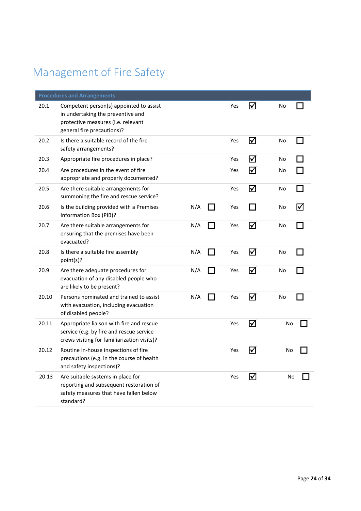### Management of Fire Safety

|       | <b>Procedures and Arrangements</b>                                                                                                               |     |     |                      |    |    |
|-------|--------------------------------------------------------------------------------------------------------------------------------------------------|-----|-----|----------------------|----|----|
| 20.1  | Competent person(s) appointed to assist<br>in undertaking the preventive and<br>protective measures (i.e. relevant<br>general fire precautions)? |     | Yes | ☑                    | No |    |
| 20.2  | Is there a suitable record of the fire<br>safety arrangements?                                                                                   |     | Yes | ☑                    | No |    |
| 20.3  | Appropriate fire procedures in place?                                                                                                            |     | Yes | ☑                    | No |    |
| 20.4  | Are procedures in the event of fire<br>appropriate and properly documented?                                                                      |     | Yes | ☑                    | No |    |
| 20.5  | Are there suitable arrangements for<br>summoning the fire and rescue service?                                                                    |     | Yes | ☑                    | No |    |
| 20.6  | Is the building provided with a Premises<br>Information Box (PIB)?                                                                               | N/A | Yes | <b>Contract</b>      | No | l۷ |
| 20.7  | Are there suitable arrangements for<br>ensuring that the premises have been<br>evacuated?                                                        | N/A | Yes | ☑                    | No |    |
| 20.8  | Is there a suitable fire assembly<br>point(s)?                                                                                                   | N/A | Yes | ☑                    | No |    |
| 20.9  | Are there adequate procedures for<br>evacuation of any disabled people who<br>are likely to be present?                                          | N/A | Yes | ☑                    | No |    |
| 20.10 | Persons nominated and trained to assist<br>with evacuation, including evacuation<br>of disabled people?                                          | N/A | Yes | ☑                    | No |    |
| 20.11 | Appropriate liaison with fire and rescue<br>service (e.g. by fire and rescue service<br>crews visiting for familiarization visits)?              |     | Yes | ☑                    | No |    |
| 20.12 | Routine in-house inspections of fire<br>precautions (e.g. in the course of health<br>and safety inspections)?                                    |     | Yes | $\blacktriangledown$ | No |    |
| 20.13 | Are suitable systems in place for<br>reporting and subsequent restoration of<br>safety measures that have fallen below<br>standard?              |     | Yes | ⋈                    | No |    |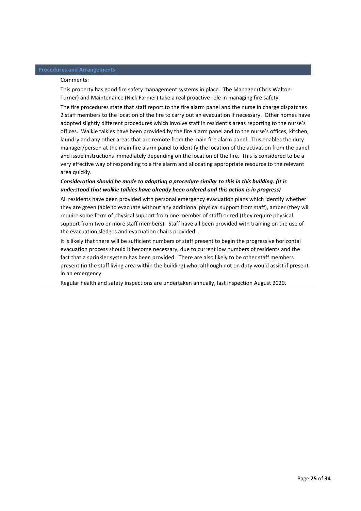#### **Procedures and Arrangements**

#### Comments:

This property has good fire safety management systems in place. The Manager (Chris Walton-Turner) and Maintenance (Nick Farmer) take a real proactive role in managing fire safety.

The fire procedures state that staff report to the fire alarm panel and the nurse in charge dispatches 2 staff members to the location of the fire to carry out an evacuation if necessary. Other homes have adopted slightly different procedures which involve staff in resident's areas reporting to the nurse's offices. Walkie talkies have been provided by the fire alarm panel and to the nurse's offices, kitchen, laundry and any other areas that are remote from the main fire alarm panel. This enables the duty manager/person at the main fire alarm panel to identify the location of the activation from the panel and issue instructions immediately depending on the location of the fire. This is considered to be a very effective way of responding to a fire alarm and allocating appropriate resource to the relevant area quickly.

#### *Consideration should be made to adopting a procedure similar to this in this building. (It is understood that walkie talkies have already been ordered and this action is in progress)*

All residents have been provided with personal emergency evacuation plans which identify whether they are green (able to evacuate without any additional physical support from staff), amber (they will require some form of physical support from one member of staff) or red (they require physical support from two or more staff members). Staff have all been provided with training on the use of the evacuation sledges and evacuation chairs provided.

It is likely that there will be sufficient numbers of staff present to begin the progressive horizontal evacuation process should it become necessary, due to current low numbers of residents and the fact that a sprinkler system has been provided. There are also likely to be other staff members present (in the staff living area within the building) who, although not on duty would assist if present in an emergency.

Regular health and safety inspections are undertaken annually, last inspection August 2020.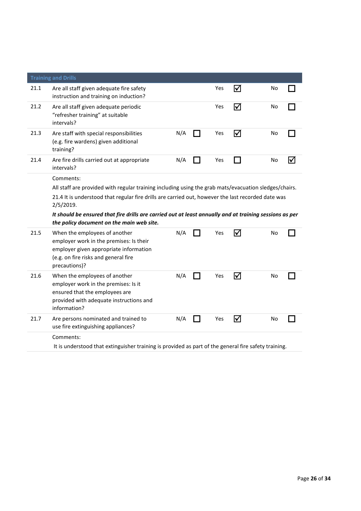|      | <b>Training and Drills</b>                                                                                                                                                  |     |     |     |    |                      |
|------|-----------------------------------------------------------------------------------------------------------------------------------------------------------------------------|-----|-----|-----|----|----------------------|
| 21.1 | Are all staff given adequate fire safety<br>instruction and training on induction?                                                                                          |     | Yes | ⋈   | No |                      |
| 21.2 | Are all staff given adequate periodic<br>"refresher training" at suitable<br>intervals?                                                                                     |     | Yes | ☑   | No |                      |
| 21.3 | Are staff with special responsibilities<br>(e.g. fire wardens) given additional<br>training?                                                                                | N/A | Yes | ☑   | No |                      |
| 21.4 | Are fire drills carried out at appropriate<br>intervals?                                                                                                                    | N/A | Yes | n l | No | $\blacktriangledown$ |
|      | Comments:                                                                                                                                                                   |     |     |     |    |                      |
|      | All staff are provided with regular training including using the grab mats/evacuation sledges/chairs.                                                                       |     |     |     |    |                      |
|      | 21.4 It is understood that regular fire drills are carried out, however the last recorded date was<br>2/5/2019.                                                             |     |     |     |    |                      |
|      | It should be ensured that fire drills are carried out at least annually and at training sessions as per<br>the policy document on the main web site.                        |     |     |     |    |                      |
| 21.5 | When the employees of another<br>employer work in the premises: Is their<br>employer given appropriate information<br>(e.g. on fire risks and general fire<br>precautions)? | N/A | Yes | ☑   | No |                      |
| 21.6 | When the employees of another<br>employer work in the premises: Is it<br>ensured that the employees are<br>provided with adequate instructions and<br>information?          | N/A | Yes | ⊠   | No |                      |
| 21.7 | Are persons nominated and trained to<br>use fire extinguishing appliances?                                                                                                  | N/A | Yes | ⋈   | No |                      |
|      | Comments:                                                                                                                                                                   |     |     |     |    |                      |
|      | It is understood that extinguisher training is provided as part of the general fire safety training.                                                                        |     |     |     |    |                      |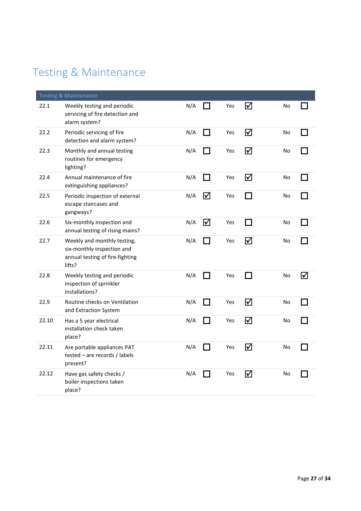### Testing & Maintenance

|       | <b>Testing &amp; Maintenance</b>                                                                       |     |               |     |                      |    |   |
|-------|--------------------------------------------------------------------------------------------------------|-----|---------------|-----|----------------------|----|---|
| 22.1  | Weekly testing and periodic<br>servicing of fire detection and<br>alarm system?                        | N/A |               | Yes | $\blacktriangledown$ | No |   |
| 22.2  | Periodic servicing of fire<br>detection and alarm system?                                              | N/A | . I           | Yes | ☑                    | No |   |
| 22.3  | Monthly and annual testing<br>routines for emergency<br>lighting?                                      | N/A |               | Yes | ⊠                    | No |   |
| 22.4  | Annual maintenance of fire<br>extinguishing appliances?                                                | N/A | $\mathcal{L}$ | Yes | ☑                    | No |   |
| 22.5  | Periodic inspection of external<br>escape staircases and<br>gangways?                                  | N/A | ☑             | Yes |                      | No |   |
| 22.6  | Six-monthly inspection and<br>annual testing of rising mains?                                          | N/A | ☑             | Yes | $\sim$               | No |   |
| 22.7  | Weekly and monthly testing,<br>six-monthly inspection and<br>annual testing of fire-fighting<br>lifts? | N/A |               | Yes | ⊠                    | No |   |
| 22.8  | Weekly testing and periodic<br>inspection of sprinkler<br>installations?                               | N/A |               | Yes | $\sim$               | No | ☑ |
| 22.9  | Routine checks on Ventilation<br>and Extraction System                                                 | N/A |               | Yes | ☑                    | No |   |
| 22.10 | Has a 5 year electrical<br>installation check taken<br>place?                                          | N/A |               | Yes | ☑                    | No |   |
| 22.11 | Are portable appliances PAT<br>tested – are records / labels<br>present?                               | N/A |               | Yes | ☑                    | No |   |
| 22.12 | Have gas safety checks /<br>boiler inspections taken<br>place?                                         | N/A |               | Yes | ☑                    | No |   |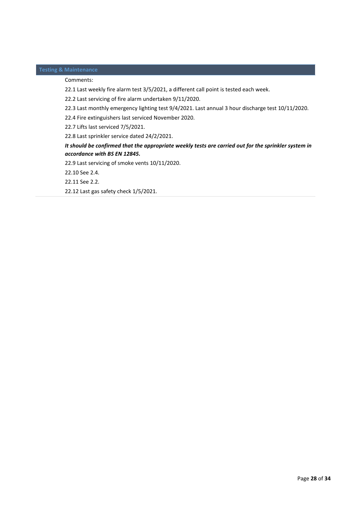#### **Testing & Maintenance**

#### Comments:

22.1 Last weekly fire alarm test 3/5/2021, a different call point is tested each week.

22.2 Last servicing of fire alarm undertaken 9/11/2020.

22.3 Last monthly emergency lighting test 9/4/2021. Last annual 3 hour discharge test 10/11/2020.

22.4 Fire extinguishers last serviced November 2020.

22.7 Lifts last serviced 7/5/2021.

22.8 Last sprinkler service dated 24/2/2021.

#### *It should be confirmed that the appropriate weekly tests are carried out for the sprinkler system in accordance with BS EN 12845.*

22.9 Last servicing of smoke vents 10/11/2020.

22.10 See 2.4.

22.11 See 2.2.

22.12 Last gas safety check 1/5/2021.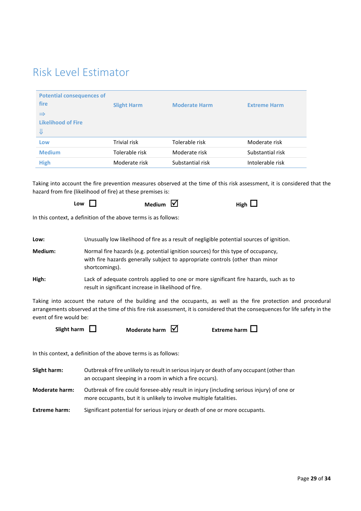#### Risk Level Estimator

| <b>Potential consequences of</b><br>fire | <b>Slight Harm</b> | <b>Moderate Harm</b> | <b>Extreme Harm</b> |
|------------------------------------------|--------------------|----------------------|---------------------|
| $\Rightarrow$                            |                    |                      |                     |
| <b>Likelihood of Fire</b>                |                    |                      |                     |
| ⇓                                        |                    |                      |                     |
| Low                                      | Trivial risk       | Tolerable risk       | Moderate risk       |
| <b>Medium</b>                            | Tolerable risk     | Moderate risk        | Substantial risk    |
| <b>High</b>                              | Moderate risk      | Substantial risk     | Intolerable risk    |

Taking into account the fire prevention measures observed at the time of this risk assessment, it is considered that the hazard from fire (likelihood of fire) at these premises is:

| Low $\Gamma$ | Medium $\boxed{\triangle}$ | High $\Box$ |
|--------------|----------------------------|-------------|
|              |                            |             |

In this context, a definition of the above terms is as follows:

| Low:    | Unusually low likelihood of fire as a result of negligible potential sources of ignition.                                                                                            |
|---------|--------------------------------------------------------------------------------------------------------------------------------------------------------------------------------------|
| Medium: | Normal fire hazards (e.g. potential ignition sources) for this type of occupancy,<br>with fire hazards generally subject to appropriate controls (other than minor<br>shortcomings). |
| High:   | Lack of adequate controls applied to one or more significant fire hazards, such as to<br>result in significant increase in likelihood of fire.                                       |

Taking into account the nature of the building and the occupants, as well as the fire protection and procedural arrangements observed at the time of this fire risk assessment, it is considered that the consequences for life safety in the event of fire would be:



In this context, a definition of the above terms is as follows:

| Slight harm:         | Outbreak of fire unlikely to result in serious injury or death of any occupant (other than<br>an occupant sleeping in a room in which a fire occurs).           |
|----------------------|-----------------------------------------------------------------------------------------------------------------------------------------------------------------|
| Moderate harm:       | Outbreak of fire could foresee-ably result in injury (including serious injury) of one or<br>more occupants, but it is unlikely to involve multiple fatalities. |
| <b>Extreme harm:</b> | Significant potential for serious injury or death of one or more occupants.                                                                                     |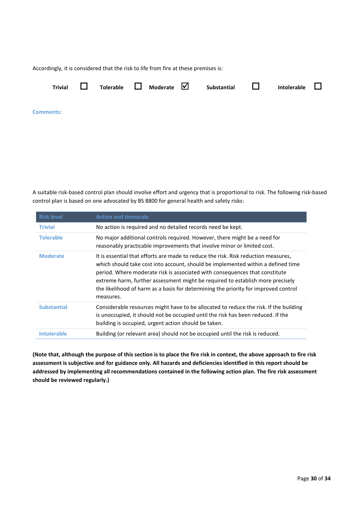Accordingly, it is considered that the risk to life from fire at these premises is:



**Comments:** 

A suitable risk-based control plan should involve effort and urgency that is proportional to risk. The following risk-based control plan is based on one advocated by BS 8800 for general health and safety risks:

| <b>Risk level</b>  | <b>Action and timescale</b>                                                                                                                                                                                                                                                                                                                                                                                                                 |
|--------------------|---------------------------------------------------------------------------------------------------------------------------------------------------------------------------------------------------------------------------------------------------------------------------------------------------------------------------------------------------------------------------------------------------------------------------------------------|
| <b>Trivial</b>     | No action is required and no detailed records need be kept.                                                                                                                                                                                                                                                                                                                                                                                 |
| <b>Tolerable</b>   | No major additional controls required. However, there might be a need for<br>reasonably practicable improvements that involve minor or limited cost.                                                                                                                                                                                                                                                                                        |
| <b>Moderate</b>    | It is essential that efforts are made to reduce the risk. Risk reduction measures,<br>which should take cost into account, should be implemented within a defined time<br>period. Where moderate risk is associated with consequences that constitute<br>extreme harm, further assessment might be required to establish more precisely<br>the likelihood of harm as a basis for determining the priority for improved control<br>measures. |
| <b>Substantial</b> | Considerable resources might have to be allocated to reduce the risk. If the building<br>is unoccupied, it should not be occupied until the risk has been reduced. If the<br>building is occupied, urgent action should be taken.                                                                                                                                                                                                           |
| <b>Intolerable</b> | Building (or relevant area) should not be occupied until the risk is reduced.                                                                                                                                                                                                                                                                                                                                                               |

**(Note that, although the purpose of this section is to place the fire risk in context, the above approach to fire risk assessment is subjective and for guidance only. All hazards and deficiencies identified in this report should be addressed by implementing all recommendations contained in the following action plan. The fire risk assessment should be reviewed regularly.)**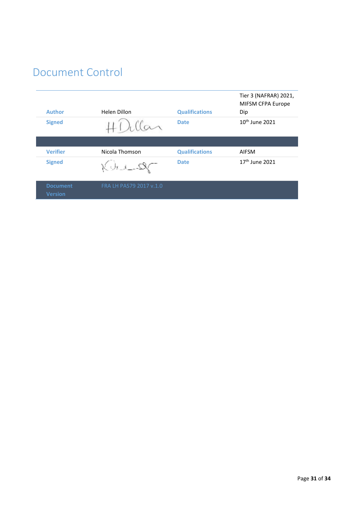### Document Control

| <b>Author</b>                     | Helen Dillon                     | <b>Qualifications</b> | Tier 3 (NAFRAR) 2021,<br>MIFSM CFPA Europe<br>Dip |
|-----------------------------------|----------------------------------|-----------------------|---------------------------------------------------|
| <b>Signed</b>                     |                                  | <b>Date</b>           | 10 <sup>th</sup> June 2021                        |
|                                   |                                  |                       |                                                   |
| <b>Verifier</b>                   | Nicola Thomson                   | <b>Qualifications</b> | <b>AIFSM</b>                                      |
| <b>Signed</b>                     | $\chi_{\cup_{k=1,\dots,N_\ell}}$ | <b>Date</b>           | $17th$ June 2021                                  |
| <b>Document</b><br><b>Version</b> | FRA LH PAS79 2017 v.1.0          |                       |                                                   |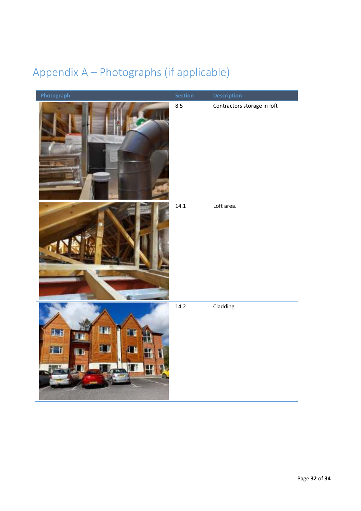### Appendix A – Photographs (if applicable)

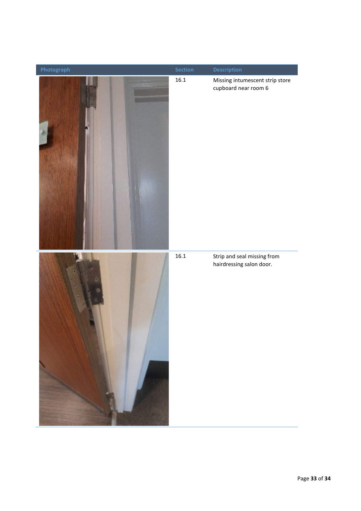